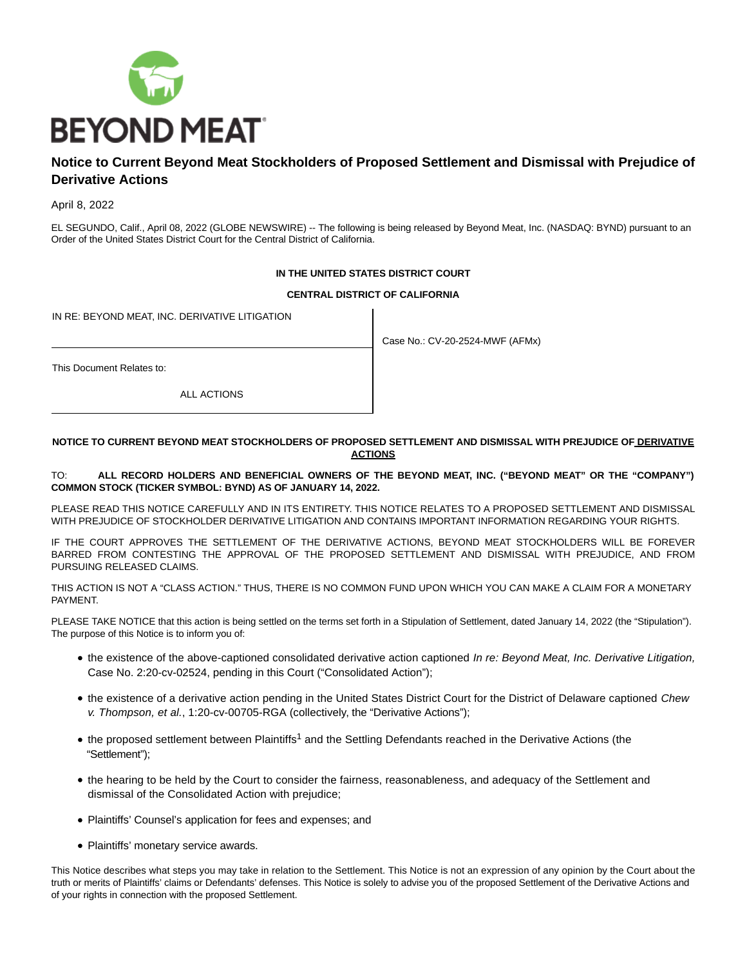

# **Notice to Current Beyond Meat Stockholders of Proposed Settlement and Dismissal with Prejudice of Derivative Actions**

April 8, 2022

EL SEGUNDO, Calif., April 08, 2022 (GLOBE NEWSWIRE) -- The following is being released by Beyond Meat, Inc. (NASDAQ: BYND) pursuant to an Order of the United States District Court for the Central District of California.

## **IN THE UNITED STATES DISTRICT COURT**

## **CENTRAL DISTRICT OF CALIFORNIA**

IN RE: BEYOND MEAT, INC. DERIVATIVE LITIGATION

Case No.: CV-20-2524-MWF (AFMx)

This Document Relates to:

ALL ACTIONS

## **NOTICE TO CURRENT BEYOND MEAT STOCKHOLDERS OF PROPOSED SETTLEMENT AND DISMISSAL WITH PREJUDICE OF DERIVATIVE ACTIONS**

## TO: **ALL RECORD HOLDERS AND BENEFICIAL OWNERS OF THE BEYOND MEAT, INC. ("BEYOND MEAT" OR THE "COMPANY") COMMON STOCK (TICKER SYMBOL: BYND) AS OF JANUARY 14, 2022.**

PLEASE READ THIS NOTICE CAREFULLY AND IN ITS ENTIRETY. THIS NOTICE RELATES TO A PROPOSED SETTLEMENT AND DISMISSAL WITH PREJUDICE OF STOCKHOLDER DERIVATIVE LITIGATION AND CONTAINS IMPORTANT INFORMATION REGARDING YOUR RIGHTS.

IF THE COURT APPROVES THE SETTLEMENT OF THE DERIVATIVE ACTIONS, BEYOND MEAT STOCKHOLDERS WILL BE FOREVER BARRED FROM CONTESTING THE APPROVAL OF THE PROPOSED SETTLEMENT AND DISMISSAL WITH PREJUDICE, AND FROM PURSUING RELEASED CLAIMS.

THIS ACTION IS NOT A "CLASS ACTION." THUS, THERE IS NO COMMON FUND UPON WHICH YOU CAN MAKE A CLAIM FOR A MONETARY PAYMENT.

PLEASE TAKE NOTICE that this action is being settled on the terms set forth in a Stipulation of Settlement, dated January 14, 2022 (the "Stipulation"). The purpose of this Notice is to inform you of:

- the existence of the above-captioned consolidated derivative action captioned In re: Beyond Meat, Inc. Derivative Litigation, Case No. 2:20-cv-02524, pending in this Court ("Consolidated Action");
- the existence of a derivative action pending in the United States District Court for the District of Delaware captioned Chew v. Thompson, et al., 1:20-cv-00705-RGA (collectively, the "Derivative Actions");
- the proposed settlement between Plaintiffs<sup>1</sup> and the Settling Defendants reached in the Derivative Actions (the "Settlement");
- the hearing to be held by the Court to consider the fairness, reasonableness, and adequacy of the Settlement and dismissal of the Consolidated Action with prejudice;
- Plaintiffs' Counsel's application for fees and expenses; and
- Plaintiffs' monetary service awards.

This Notice describes what steps you may take in relation to the Settlement. This Notice is not an expression of any opinion by the Court about the truth or merits of Plaintiffs' claims or Defendants' defenses. This Notice is solely to advise you of the proposed Settlement of the Derivative Actions and of your rights in connection with the proposed Settlement.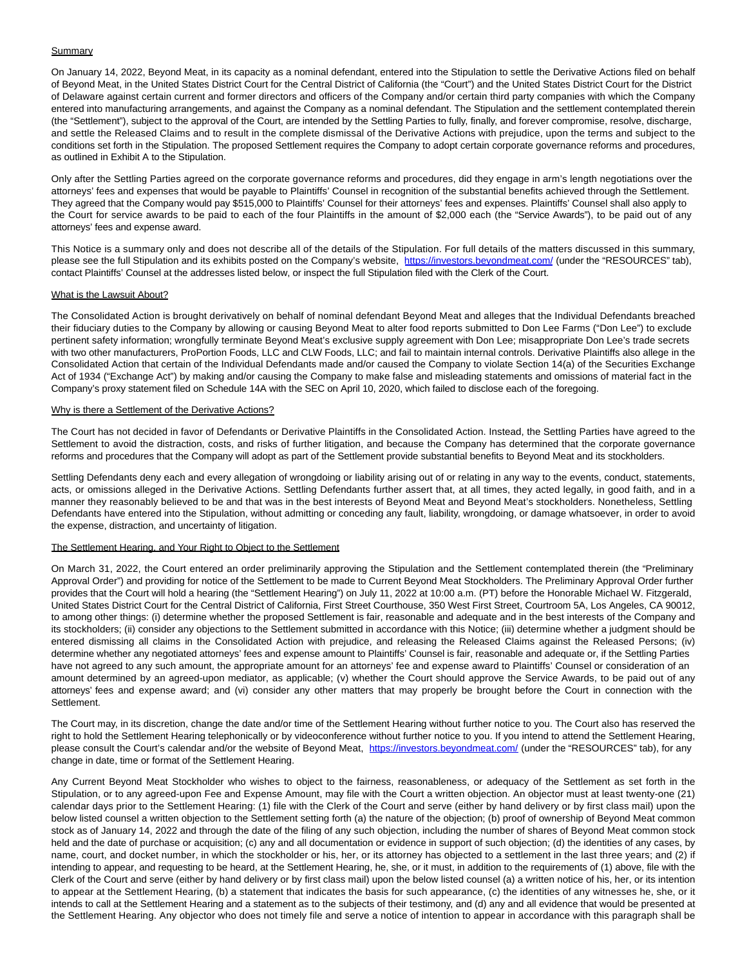## Summary

On January 14, 2022, Beyond Meat, in its capacity as a nominal defendant, entered into the Stipulation to settle the Derivative Actions filed on behalf of Beyond Meat, in the United States District Court for the Central District of California (the "Court") and the United States District Court for the District of Delaware against certain current and former directors and officers of the Company and/or certain third party companies with which the Company entered into manufacturing arrangements, and against the Company as a nominal defendant. The Stipulation and the settlement contemplated therein (the "Settlement"), subject to the approval of the Court, are intended by the Settling Parties to fully, finally, and forever compromise, resolve, discharge, and settle the Released Claims and to result in the complete dismissal of the Derivative Actions with prejudice, upon the terms and subject to the conditions set forth in the Stipulation. The proposed Settlement requires the Company to adopt certain corporate governance reforms and procedures, as outlined in Exhibit A to the Stipulation.

Only after the Settling Parties agreed on the corporate governance reforms and procedures, did they engage in arm's length negotiations over the attorneys' fees and expenses that would be payable to Plaintiffs' Counsel in recognition of the substantial benefits achieved through the Settlement. They agreed that the Company would pay \$515,000 to Plaintiffs' Counsel for their attorneys' fees and expenses. Plaintiffs' Counsel shall also apply to the Court for service awards to be paid to each of the four Plaintiffs in the amount of \$2,000 each (the "Service Awards"), to be paid out of any attorneys' fees and expense award.

This Notice is a summary only and does not describe all of the details of the Stipulation. For full details of the matters discussed in this summary, please see the full Stipulation and its exhibits posted on the Company's website, [https://investors.beyondmeat.com/ \(](https://www.globenewswire.com/Tracker?data=qjO29gmERXnVgKXJQR7HUQ-DYptPcMd8Go838uPXoChnSeqLFxoheO5kUqQZ0zk_MOFTAh8a5T--5mMLgtTpZQ5SPr6bOd6ju2bwvGCIeMUmYYIqK6twTCHbgNKoUC-J)under the "RESOURCES" tab), contact Plaintiffs' Counsel at the addresses listed below, or inspect the full Stipulation filed with the Clerk of the Court.

## What is the Lawsuit About?

The Consolidated Action is brought derivatively on behalf of nominal defendant Beyond Meat and alleges that the Individual Defendants breached their fiduciary duties to the Company by allowing or causing Beyond Meat to alter food reports submitted to Don Lee Farms ("Don Lee") to exclude pertinent safety information; wrongfully terminate Beyond Meat's exclusive supply agreement with Don Lee; misappropriate Don Lee's trade secrets with two other manufacturers, ProPortion Foods, LLC and CLW Foods, LLC; and fail to maintain internal controls. Derivative Plaintiffs also allege in the Consolidated Action that certain of the Individual Defendants made and/or caused the Company to violate Section 14(a) of the Securities Exchange Act of 1934 ("Exchange Act") by making and/or causing the Company to make false and misleading statements and omissions of material fact in the Company's proxy statement filed on Schedule 14A with the SEC on April 10, 2020, which failed to disclose each of the foregoing.

#### Why is there a Settlement of the Derivative Actions?

The Court has not decided in favor of Defendants or Derivative Plaintiffs in the Consolidated Action. Instead, the Settling Parties have agreed to the Settlement to avoid the distraction, costs, and risks of further litigation, and because the Company has determined that the corporate governance reforms and procedures that the Company will adopt as part of the Settlement provide substantial benefits to Beyond Meat and its stockholders.

Settling Defendants deny each and every allegation of wrongdoing or liability arising out of or relating in any way to the events, conduct, statements, acts, or omissions alleged in the Derivative Actions. Settling Defendants further assert that, at all times, they acted legally, in good faith, and in a manner they reasonably believed to be and that was in the best interests of Beyond Meat and Beyond Meat's stockholders. Nonetheless, Settling Defendants have entered into the Stipulation, without admitting or conceding any fault, liability, wrongdoing, or damage whatsoever, in order to avoid the expense, distraction, and uncertainty of litigation.

#### The Settlement Hearing, and Your Right to Object to the Settlement

On March 31, 2022, the Court entered an order preliminarily approving the Stipulation and the Settlement contemplated therein (the "Preliminary Approval Order") and providing for notice of the Settlement to be made to Current Beyond Meat Stockholders. The Preliminary Approval Order further provides that the Court will hold a hearing (the "Settlement Hearing") on July 11, 2022 at 10:00 a.m. (PT) before the Honorable Michael W. Fitzgerald, United States District Court for the Central District of California, First Street Courthouse, 350 West First Street, Courtroom 5A, Los Angeles, CA 90012, to among other things: (i) determine whether the proposed Settlement is fair, reasonable and adequate and in the best interests of the Company and its stockholders; (ii) consider any objections to the Settlement submitted in accordance with this Notice; (iii) determine whether a judgment should be entered dismissing all claims in the Consolidated Action with prejudice, and releasing the Released Claims against the Released Persons; (iv) determine whether any negotiated attorneys' fees and expense amount to Plaintiffs' Counsel is fair, reasonable and adequate or, if the Settling Parties have not agreed to any such amount, the appropriate amount for an attorneys' fee and expense award to Plaintiffs' Counsel or consideration of an amount determined by an agreed-upon mediator, as applicable; (v) whether the Court should approve the Service Awards, to be paid out of any attorneys' fees and expense award; and (vi) consider any other matters that may properly be brought before the Court in connection with the Settlement.

The Court may, in its discretion, change the date and/or time of the Settlement Hearing without further notice to you. The Court also has reserved the right to hold the Settlement Hearing telephonically or by videoconference without further notice to you. If you intend to attend the Settlement Hearing, please consult the Court's calendar and/or the website of Beyond Meat, [https://investors.beyondmeat.com/ \(](https://www.globenewswire.com/Tracker?data=qjO29gmERXnVgKXJQR7HUQ-DYptPcMd8Go838uPXoCjW1J365v7NZwsYwazlRad96vxUpHcBKwxocf8GLMk_XQUWo8aZlRGBxuGN__A-7fi9lTpCKlQrhHrqf7UPVIBt)under the "RESOURCES" tab), for any change in date, time or format of the Settlement Hearing.

Any Current Beyond Meat Stockholder who wishes to object to the fairness, reasonableness, or adequacy of the Settlement as set forth in the Stipulation, or to any agreed-upon Fee and Expense Amount, may file with the Court a written objection. An objector must at least twenty-one (21) calendar days prior to the Settlement Hearing: (1) file with the Clerk of the Court and serve (either by hand delivery or by first class mail) upon the below listed counsel a written objection to the Settlement setting forth (a) the nature of the objection; (b) proof of ownership of Beyond Meat common stock as of January 14, 2022 and through the date of the filing of any such objection, including the number of shares of Beyond Meat common stock held and the date of purchase or acquisition; (c) any and all documentation or evidence in support of such objection; (d) the identities of any cases, by name, court, and docket number, in which the stockholder or his, her, or its attorney has objected to a settlement in the last three years; and (2) if intending to appear, and requesting to be heard, at the Settlement Hearing, he, she, or it must, in addition to the requirements of (1) above, file with the Clerk of the Court and serve (either by hand delivery or by first class mail) upon the below listed counsel (a) a written notice of his, her, or its intention to appear at the Settlement Hearing, (b) a statement that indicates the basis for such appearance, (c) the identities of any witnesses he, she, or it intends to call at the Settlement Hearing and a statement as to the subjects of their testimony, and (d) any and all evidence that would be presented at the Settlement Hearing. Any objector who does not timely file and serve a notice of intention to appear in accordance with this paragraph shall be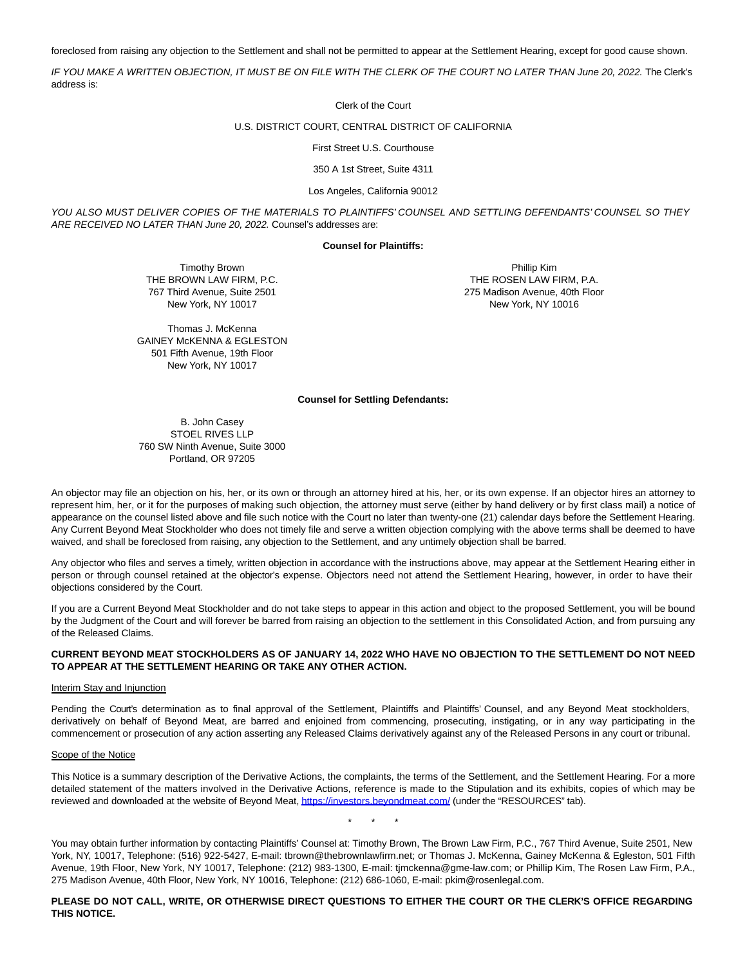foreclosed from raising any objection to the Settlement and shall not be permitted to appear at the Settlement Hearing, except for good cause shown.

IF YOU MAKE A WRITTEN OBJECTION, IT MUST BE ON FILE WITH THE CLERK OF THE COURT NO LATER THAN June 20, 2022. The Clerk's address is:

Clerk of the Court

#### U.S. DISTRICT COURT, CENTRAL DISTRICT OF CALIFORNIA

First Street U.S. Courthouse

350 A 1st Street, Suite 4311

#### Los Angeles, California 90012

YOU ALSO MUST DELIVER COPIES OF THE MATERIALS TO PLAINTIFFS' COUNSEL AND SETTLING DEFENDANTS' COUNSEL SO THEY ARE RECEIVED NO LATER THAN June 20, 2022. Counsel's addresses are:

#### **Counsel for Plaintiffs:**

Timothy Brown THE BROWN LAW FIRM, P.C. 767 Third Avenue, Suite 2501 New York, NY 10017

Thomas J. McKenna GAINEY McKENNA & EGLESTON 501 Fifth Avenue, 19th Floor New York, NY 10017

Phillip Kim THE ROSEN LAW FIRM, P.A. 275 Madison Avenue, 40th Floor New York, NY 10016

#### **Counsel for Settling Defendants:**

B. John Casey STOEL RIVES LLP 760 SW Ninth Avenue, Suite 3000 Portland, OR 97205

An objector may file an objection on his, her, or its own or through an attorney hired at his, her, or its own expense. If an objector hires an attorney to represent him, her, or it for the purposes of making such objection, the attorney must serve (either by hand delivery or by first class mail) a notice of appearance on the counsel listed above and file such notice with the Court no later than twenty-one (21) calendar days before the Settlement Hearing. Any Current Beyond Meat Stockholder who does not timely file and serve a written objection complying with the above terms shall be deemed to have waived, and shall be foreclosed from raising, any objection to the Settlement, and any untimely objection shall be barred.

Any objector who files and serves a timely, written objection in accordance with the instructions above, may appear at the Settlement Hearing either in person or through counsel retained at the objector's expense. Objectors need not attend the Settlement Hearing, however, in order to have their objections considered by the Court.

If you are a Current Beyond Meat Stockholder and do not take steps to appear in this action and object to the proposed Settlement, you will be bound by the Judgment of the Court and will forever be barred from raising an objection to the settlement in this Consolidated Action, and from pursuing any of the Released Claims.

#### **CURRENT BEYOND MEAT STOCKHOLDERS AS OF JANUARY 14, 2022 WHO HAVE NO OBJECTION TO THE SETTLEMENT DO NOT NEED TO APPEAR AT THE SETTLEMENT HEARING OR TAKE ANY OTHER ACTION.**

#### Interim Stay and Injunction

Pending the Court's determination as to final approval of the Settlement, Plaintiffs and Plaintiffs' Counsel, and any Beyond Meat stockholders, derivatively on behalf of Beyond Meat, are barred and enjoined from commencing, prosecuting, instigating, or in any way participating in the commencement or prosecution of any action asserting any Released Claims derivatively against any of the Released Persons in any court or tribunal.

#### Scope of the Notice

This Notice is a summary description of the Derivative Actions, the complaints, the terms of the Settlement, and the Settlement Hearing. For a more detailed statement of the matters involved in the Derivative Actions, reference is made to the Stipulation and its exhibits, copies of which may be reviewed and downloaded at the website of Beyond Meat[, https://investors.beyondmeat.com/ \(](https://www.globenewswire.com/Tracker?data=qjO29gmERXnVgKXJQR7HUQ-DYptPcMd8Go838uPXoCjIf7hamn8A7O8ahjQCZV0CkBJauGDiYxDJMMEY-3DiX6Qx1FoJoioFEDAS864-IvAGCsrYACKiTOts3wuTr-7Y)under the "RESOURCES" tab).

\* \* \*

You may obtain further information by contacting Plaintiffs' Counsel at: Timothy Brown, The Brown Law Firm, P.C., 767 Third Avenue, Suite 2501, New York, NY, 10017, Telephone: (516) 922-5427, E-mail: tbrown@thebrownlawfirm.net; or Thomas J. McKenna, Gainey McKenna & Egleston, 501 Fifth Avenue, 19th Floor, New York, NY 10017, Telephone: (212) 983-1300, E-mail: tjmckenna@gme-law.com; or Phillip Kim, The Rosen Law Firm, P.A., 275 Madison Avenue, 40th Floor, New York, NY 10016, Telephone: (212) 686-1060, E-mail: pkim@rosenlegal.com.

## **PLEASE DO NOT CALL, WRITE, OR OTHERWISE DIRECT QUESTIONS TO EITHER THE COURT OR THE CLERK'S OFFICE REGARDING THIS NOTICE.**